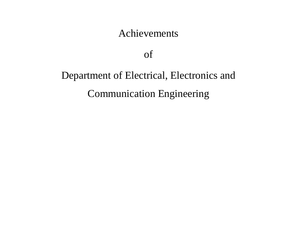#### Achievements

of

# Department of Electrical, Electronics and Communication Engineering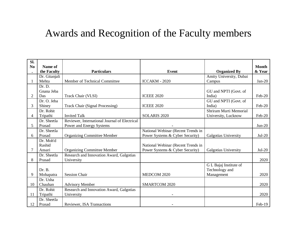## Awards and Recognition of the Faculty members

| Sl.            |                        |                                                        |                                    |                         |                        |
|----------------|------------------------|--------------------------------------------------------|------------------------------------|-------------------------|------------------------|
| N <sub>0</sub> | Name of<br>the Faculty | <b>Particulars</b>                                     | <b>Event</b>                       | <b>Organized By</b>     | <b>Month</b><br>& Year |
|                | Dr. Gitanjali          |                                                        |                                    | Amity University, Dubai |                        |
|                | Mehta                  | Member of Technical Committee                          | ICCAKM - 2020                      | Campus                  | $Jan-20$               |
|                | Dr. D.                 |                                                        |                                    |                         |                        |
|                | Gnana Jeba             |                                                        |                                    | GU and NPTI (Govt. of   |                        |
| $\overline{2}$ | Das                    | Track Chair (VLSI)                                     | <b>ICEEE 2020</b>                  | India)                  | Feb-20                 |
|                | Dr. O. Jeba            |                                                        |                                    | GU and NPTI (Govt. of   |                        |
| 3              | Shiney                 | <b>Track Chair (Signal Processing)</b>                 | <b>ICEEE 2020</b>                  | India)                  | Feb-20                 |
|                | Dr. Rohit              |                                                        |                                    | Shriram Murti Memorial  |                        |
| 4              | Tripathi               | <b>Invited Talk</b>                                    | SOLARIS <sub>2020</sub>            | University, Lucknow     | Feb-20                 |
|                | Dr. Sheetla            | Reviewer, International Journal of Electrical          |                                    |                         |                        |
| 5              | Prasad                 | Power and Energy Systems                               |                                    |                         | $Jun-20$               |
|                | Dr. Sheetla            |                                                        | National Webinar (Recent Trends in |                         |                        |
| 6              | Prasad                 | <b>Organizing Committee Member</b>                     | Power Systems & Cyber Security)    | Galgotias University    | $Jul-20$               |
|                | Dr. Moh'd              |                                                        |                                    |                         |                        |
|                | Rashid                 |                                                        | National Webinar (Recent Trends in |                         |                        |
| 7              | Ansari<br>Dr. Sheetla  | <b>Organizing Committee Member</b>                     | Power Systems & Cyber Security)    | Galgotias University    | Jul-20                 |
| 8              | Prasad                 | Research and Innovation Award, Galgotias<br>University |                                    |                         | 2020                   |
|                |                        |                                                        |                                    | G L Bajaj Institute of  |                        |
|                | Dr. B.                 |                                                        |                                    | Technology and          |                        |
| 9              | Mohapatra              | <b>Session Chair</b>                                   | MEDCOM 2020                        | Management              | 2020                   |
|                | Dr. Usha               |                                                        |                                    |                         |                        |
| 10             | Chauhan                | <b>Advisory Member</b>                                 | <b>SMARTCOM 2020</b>               |                         | 2020                   |
|                | Dr. Rohit              | Research and Innovation Award, Galgotias               |                                    |                         |                        |
| 11             | Tripathi               | University                                             | $\overline{\phantom{0}}$           |                         | 2020                   |
|                | Dr. Sheetla            |                                                        |                                    |                         |                        |
| 12             | Prasad                 | Reviewer, ISA Transactions                             |                                    |                         | Feb-19                 |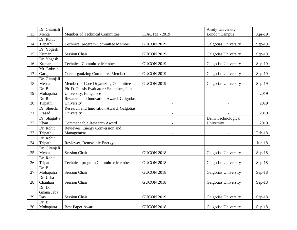|    | Dr. Gitanjali |                                           |                   | Amity University,    |          |
|----|---------------|-------------------------------------------|-------------------|----------------------|----------|
| 13 | Mehta         | Member of Technical Committee             | ICACTM - 2019     | <b>London Campus</b> | Apr-19   |
|    | Dr. Rohit     |                                           |                   |                      |          |
| 14 | Tripathi      | Technical program Committee Member        | <b>GUCON 2019</b> | Galgotias University | $Sep-19$ |
|    | Dr. Yogesh    |                                           |                   |                      |          |
| 15 | Kumar         | <b>Session Chair</b>                      | <b>GUCON 2019</b> | Galgotias University | $Sep-19$ |
|    | Dr. Yogesh    |                                           |                   |                      |          |
| 16 | Kumar         | <b>Technical Committee Member</b>         | <b>GUCON 2019</b> | Galgotias University | $Sep-19$ |
|    | Mr. Lokesh    |                                           |                   |                      |          |
| 17 | Garg          | Core organizing Committee Member          | <b>GUCON 2019</b> | Galgotias University | $Sep-19$ |
|    | Dr. Gitanjali |                                           |                   |                      |          |
| 18 | Mehta         | Member of Core Organizing Committee       | <b>GUCON 2019</b> | Galgotias University | $Sep-19$ |
|    | Dr. B.        | Ph. D. Thesis Evaluator / Examiner, Jain  |                   |                      |          |
| 19 | Mohapatra     | University, Bangalore                     |                   |                      | 2019     |
|    | Dr. Rohit     | Research and Innovation Award, Galgotias  |                   |                      |          |
| 20 | Tripathi      | University                                |                   |                      | 2019     |
|    | Dr. Sheetla   | Research and Innovation Award, Galgotias  |                   |                      |          |
| 21 | Prasad        | University                                |                   |                      | 2019     |
|    | Dr. Shagufta  |                                           |                   | Delhi Technological  |          |
| 22 | Khan          | Commendable Research Award                |                   | University           | 2019     |
|    | Dr. Rohit     | Reviewer, Energy Conversion and           |                   |                      |          |
| 23 | Tripathi      | Management                                |                   |                      | Feb-18   |
|    | Dr. Rohit     |                                           |                   |                      |          |
| 24 | Tripathi      | Reviewer, Renewable Energy                |                   |                      | $Jun-18$ |
|    | Dr. Gitanjali |                                           |                   |                      |          |
| 25 | Mehta         | <b>Session Chair</b>                      | <b>GUCON 2018</b> | Galgotias University | $Sep-18$ |
|    | Dr. Rohit     |                                           |                   |                      |          |
| 26 | Tripathi      | <b>Technical program Committee Member</b> | <b>GUCON 2018</b> | Galgotias University | $Sep-18$ |
|    | Dr. B.        |                                           |                   |                      |          |
| 27 | Mohapatra     | <b>Session Chair</b>                      | <b>GUCON 2018</b> | Galgotias University | $Sep-18$ |
|    | Dr. Usha      |                                           |                   |                      |          |
| 28 | Chauhan       | <b>Session Chair</b>                      | <b>GUCON 2018</b> | Galgotias University | $Sep-18$ |
|    | Dr. D.        |                                           |                   |                      |          |
|    | Gnana Jeba    |                                           |                   |                      |          |
| 29 | Das           | <b>Session Chair</b>                      | <b>GUCON 2019</b> | Galgotias University | $Sep-18$ |
|    | Dr. B.        |                                           |                   |                      |          |
| 30 | Mohapatra     | Best Paper Award                          | <b>GUCON 2018</b> | Galgotias University | $Sep-18$ |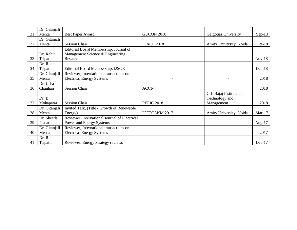|    | Dr. Gitanjali |                                               |                      |                         |           |
|----|---------------|-----------------------------------------------|----------------------|-------------------------|-----------|
| 31 | Mehta         | <b>Best Paper Award</b>                       | <b>GUCON 2018</b>    | Galgotias University    | $Sep-18$  |
|    | Dr. Gitanjali |                                               |                      |                         |           |
| 32 | Mehta         | <b>Session Chair</b>                          | <b>ICACE 2018</b>    | Amity University, Noida | $Oct-18$  |
|    |               | Editorial Board Membership, Journal of        |                      |                         |           |
|    | Dr. Rohit     | Management Science & Engineering              |                      |                         |           |
| 33 | Tripathi      | Research                                      |                      |                         | $Nov-18$  |
|    | Dr. Rohit     |                                               |                      |                         |           |
| 34 | Tripathi      | Editorial Board Membership, IJSGE             |                      |                         | $Dec-18$  |
|    | Dr. Gitanjali | Reviewer, International transactions on       |                      |                         |           |
| 35 | Mehta         | <b>Electrical Energy Systems</b>              |                      |                         | 2018      |
|    | Dr. Usha      |                                               |                      |                         |           |
| 36 | Chauhan       | <b>Session Chair</b>                          | <b>ACCN</b>          |                         | 2018      |
|    |               |                                               |                      | G L Bajaj Institute of  |           |
|    | Dr. B.        |                                               |                      | Technology and          |           |
| 37 | Mohapatra     | <b>Session Chair</b>                          | <b>PEEIC 2018</b>    | Management              | 2018      |
|    | Dr. Gitanjali | Invited Talk, (Title - Growth of Renewable    |                      |                         |           |
| 38 | Mehta         | Energy)                                       | <b>ICFTCAKM 2017</b> | Amity University, Noida | $Mar-17$  |
|    | Dr. Sheetla   | Reviewer, International Journal of Electrical |                      |                         |           |
| 39 | Prasad        | Power and Energy Systems                      |                      |                         | Aug- $17$ |
|    | Dr. Gitanjali | Reviewer, International transactions on       |                      |                         |           |
| 40 | Mehta         | <b>Electrical Energy Systems</b>              |                      |                         | 2017      |
|    | Dr. Rohit     |                                               |                      |                         |           |
| 41 | Tripathi      | Reviewer, Energy Strategy reviews             |                      |                         | $Dec-17$  |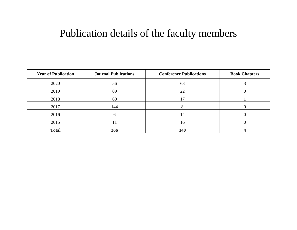#### Publication details of the faculty members

| <b>Year of Publication</b> | <b>Journal Publications</b> | <b>Conference Publications</b> | <b>Book Chapters</b> |
|----------------------------|-----------------------------|--------------------------------|----------------------|
| 2020                       | 56                          | 63                             |                      |
| 2019                       | 89                          | 22                             |                      |
| 2018                       | 60                          |                                |                      |
| 2017                       | 144                         |                                |                      |
| 2016                       |                             | $\overline{4}$                 |                      |
| 2015                       |                             | 16                             |                      |
| <b>Total</b>               | 366                         | 140                            |                      |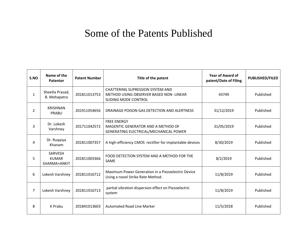## Some of the Patents Published

| S.NO           | Name of the<br>Patentor                        | <b>Patent Number</b> | Title of the patent                                                                                       | <b>Year of Award of</b><br>patent/Date of Filing | <b>PUBLISHED/FILED</b> |
|----------------|------------------------------------------------|----------------------|-----------------------------------------------------------------------------------------------------------|--------------------------------------------------|------------------------|
| $\mathbf{1}$   | Sheetla Prasad,<br>B. Mohapatra                | 201811013753         | <b>CHATTERING SUPRESSION SYSTEM AND</b><br>METHOD USING OBSERVER BASED NON-LINEAR<br>SLIDING MODE CONTROL | 43749                                            | Published              |
| $\overline{2}$ | <b>KRISHNAN</b><br>PRABU                       | 201911054656         | DRAINAGE POISON GAS DETECTION AND ALERTNESS                                                               | 31/12/2019                                       | Published              |
| 3              | Dr. Lokesh<br>Varshney                         | 201711042572         | <b>FREE ENERGY</b><br>MAGENTIC GENERATOR AND A METHOD OF<br>GENERATING ELECTRICAL/MECHANICAL POWER        | 31/05/2019                                       | Published              |
| 4              | Dr. Ruqaiya<br>Khanam                          | 201811007357         | A high-efficiency CMOS rectifier for implantable devices                                                  | 8/30/2019                                        | Published              |
| 5              | <b>SARVESH</b><br><b>KUMAR</b><br>SHARMA+ANKIT | 201811003366         | FOOD DETECTION SYSTEM AND A METHOD FOR THE<br>SAME                                                        | 8/2/2019                                         | Published              |
| 6              | Lokesh Varshney                                | 201811016712         | Maximum Power Generation in a Piezoelectric Device<br>Using a novel Strike Rate Method.                   | 11/8/2019                                        | Published              |
| $\overline{7}$ | Lokesh Varshney                                | 201811016713         | partial vibration dispersion effect on Piezoelectric<br>system                                            | 11/8/2019                                        | Published              |
| 8              | K Prabu                                        | 201841013603         | <b>Automated Road Line Marker</b>                                                                         | 11/5/2018                                        | Published              |